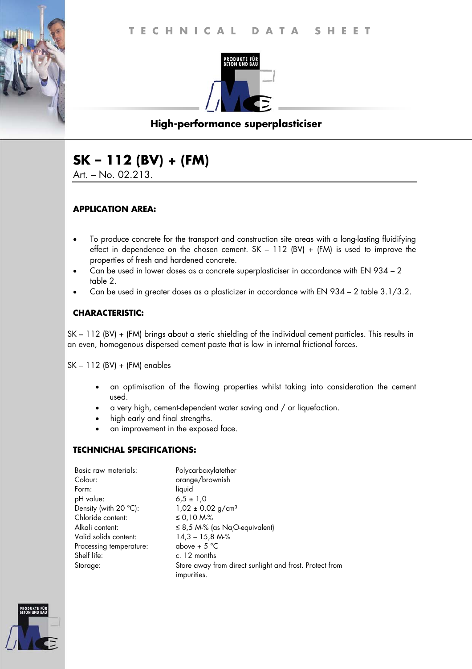

# **High-performance superplasticiser**

# **SK – 112 (BV) + (FM)**

Art. – No. 02.213.

#### **APPLICATION AREA:**

- To produce concrete for the transport and construction site areas with a long-lasting fluidifying effect in dependence on the chosen cement.  $SK - 112$  (BV) + (FM) is used to improve the properties of fresh and hardened concrete.
- Can be used in lower doses as a concrete superplasticiser in accordance with EN 934 2 table 2.
- Can be used in greater doses as a plasticizer in accordance with EN 934 2 table 3.1/3.2.

## **CHARACTERISTIC:**

SK – 112 (BV) + (FM) brings about a steric shielding of the individual cement particles. This results in an even, homogenous dispersed cement paste that is low in internal frictional forces.

SK – 112 (BV) + (FM) enables

- an optimisation of the flowing properties whilst taking into consideration the cement used.
- a very high, cement-dependent water saving and / or liquefaction.
- high early and final strengths.
- an improvement in the exposed face.

#### **TECHNICHAL SPECIFICATIONS:**

| Basic raw materials:    | Polycarboxylatether                                                    |
|-------------------------|------------------------------------------------------------------------|
| Colour:                 | orange/brownish                                                        |
| Form:                   | liquid                                                                 |
| pH value:               | $6.5 \pm 1.0$                                                          |
| Density (with 20 °C):   | $1,02 \pm 0,02$ g/cm <sup>3</sup>                                      |
| Chloride content:       | ≤ 0,10 M-%                                                             |
| Alkali content:         | $\leq$ 8,5 M-% (as Na <sub>O</sub> -equivalent)                        |
| Valid solids content:   | $14,3 - 15,8 M\%$                                                      |
| Processing temperature: | above + $5^{\circ}$ C                                                  |
| Shelf life:             | c. 12 months                                                           |
| Storage:                | Store away from direct sunlight and frost. Protect from<br>impurities. |